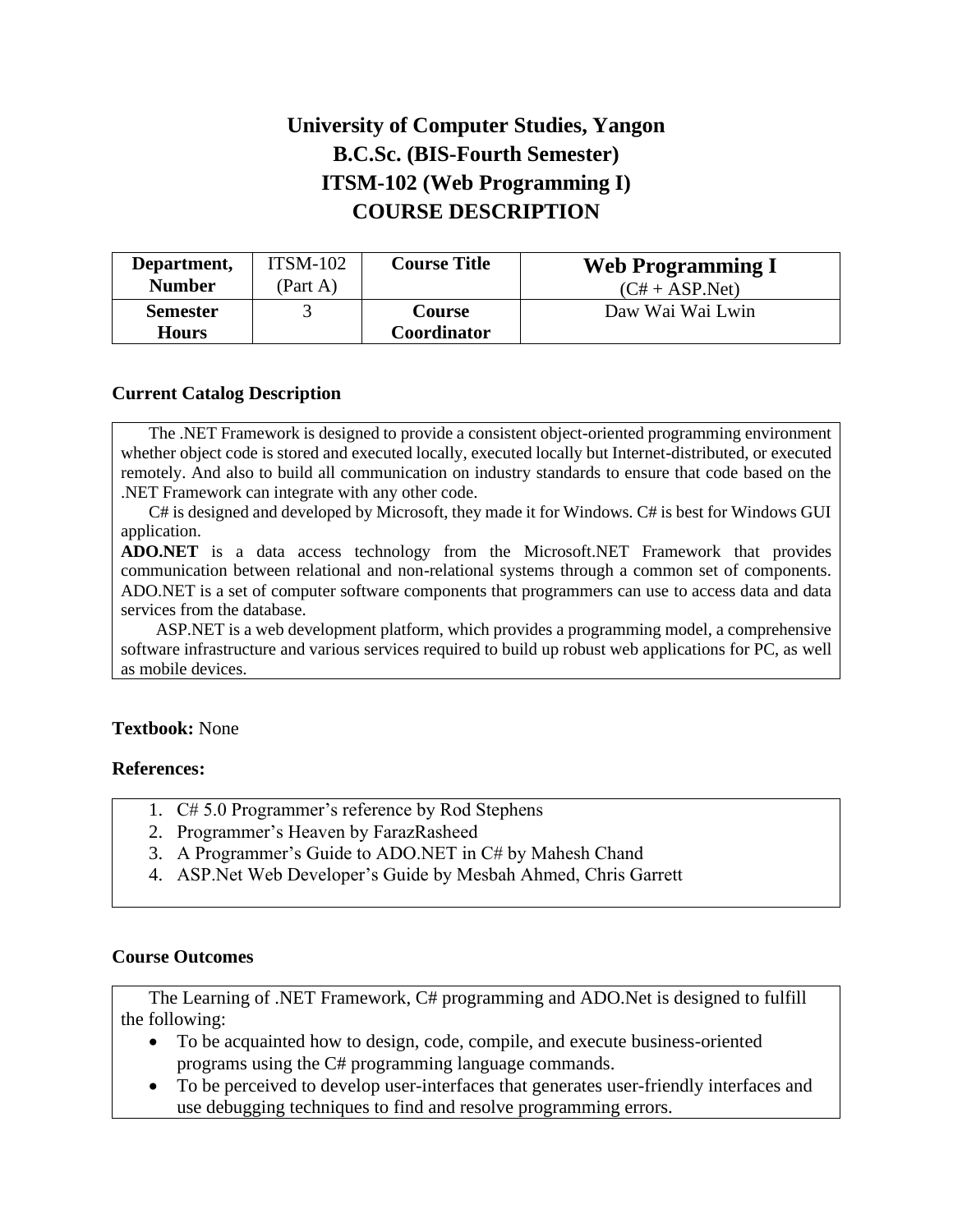# **University of Computer Studies, Yangon B.C.Sc. (BIS-Fourth Semester) ITSM-102 (Web Programming I) COURSE DESCRIPTION**

| Department,     | $ITSM-102$ | <b>Course Title</b> | <b>Web Programming I</b> |
|-----------------|------------|---------------------|--------------------------|
| <b>Number</b>   | (Part A)   |                     | $(C# + ASP.Net)$         |
| <b>Semester</b> |            | Course              | Daw Wai Wai Lwin         |
| <b>Hours</b>    |            | Coordinator         |                          |

### **Current Catalog Description**

The .NET Framework is designed to provide a consistent object-oriented programming environment whether object code is stored and executed locally, executed locally but Internet-distributed, or executed remotely. And also to build all communication on industry standards to ensure that code based on the .NET Framework can integrate with any other code.

C# is designed and developed by Microsoft, they made it for Windows. C# is best for Windows GUI application.

**ADO.NET** is a data access technology from the Microsoft.NET Framework that provides communication between relational and non-relational systems through a common set of components. ADO.NET is a set of computer software components that programmers can use to access data and data services from the database.

 ASP.NET is a web development platform, which provides a programming model, a comprehensive software infrastructure and various services required to build up robust web applications for PC, as well as mobile devices.

#### **Textbook:** None

#### **References:**

- 1. C# 5.0 Programmer's reference by Rod Stephens
- 2. Programmer's Heaven by FarazRasheed
- 3. A Programmer's Guide to ADO.NET in C# by Mahesh Chand
- 4. ASP.Net Web Developer's Guide by Mesbah Ahmed, Chris Garrett

#### **Course Outcomes**

The Learning of .NET Framework, C# programming and ADO.Net is designed to fulfill the following:

- To be acquainted how to design, code, compile, and execute business-oriented programs using the C# programming language commands.
- To be perceived to develop user-interfaces that generates user-friendly interfaces and use debugging techniques to find and resolve programming errors.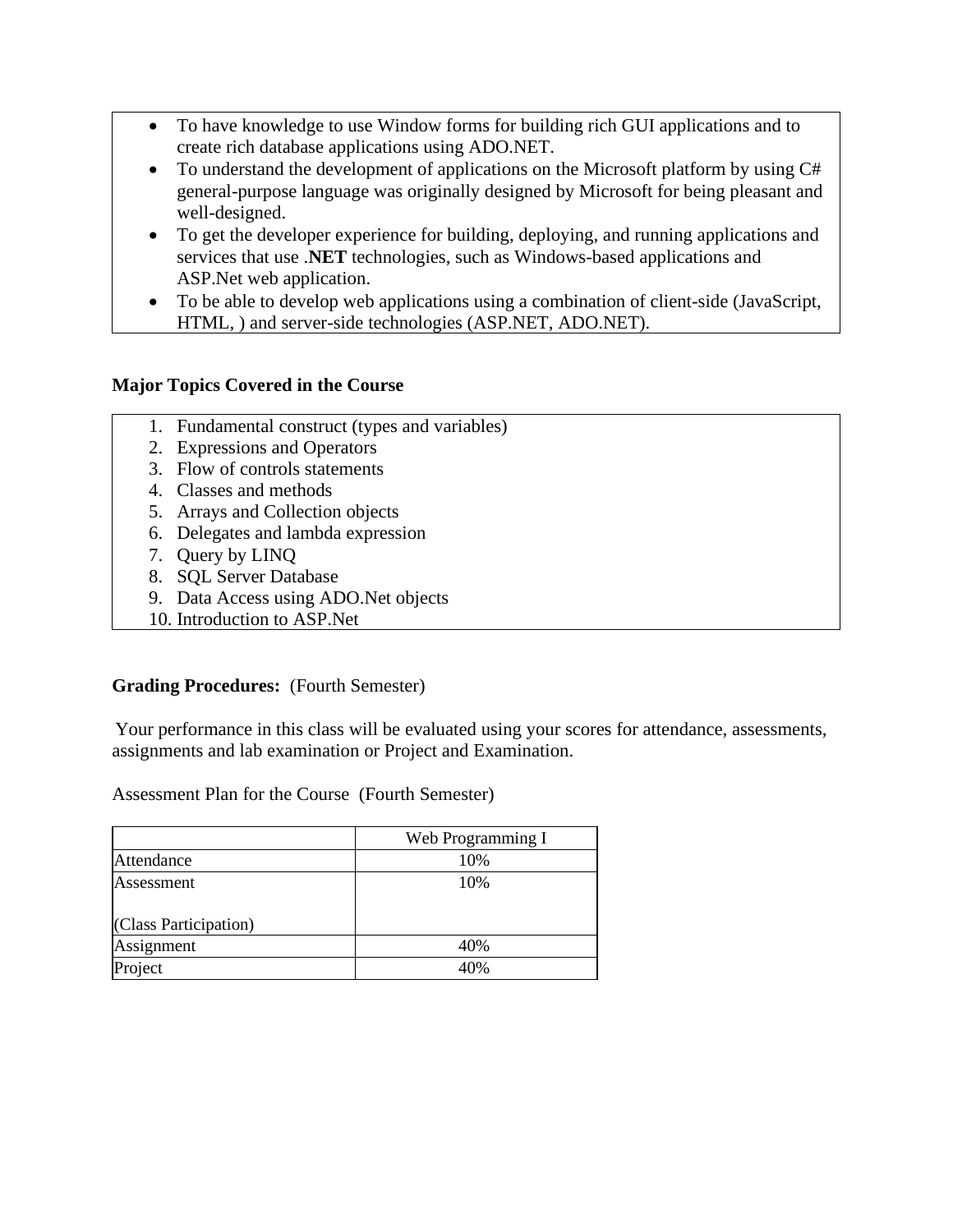- To have knowledge to use Window forms for building rich GUI applications and to create rich database applications using ADO.NET.
- To understand the development of applications on the Microsoft platform by using C# general-purpose language was originally designed by Microsoft for being pleasant and well-designed.
- To get the developer experience for building, deploying, and running applications and services that use .**NET** technologies, such as Windows-based applications and ASP.Net web application.
- To be able to develop web applications using a combination of client-side (JavaScript, HTML, ) and server-side technologies (ASP.NET, ADO.NET).

## **Major Topics Covered in the Course**

- 1. Fundamental construct (types and variables)
- 2. Expressions and Operators
- 3. Flow of controls statements
- 4. Classes and methods
- 5. Arrays and Collection objects
- 6. Delegates and lambda expression
- 7. Query by LINQ
- 8. SQL Server Database
- 9. Data Access using ADO.Net objects
- 10. Introduction to ASP.Net

## **Grading Procedures:** (Fourth Semester)

Your performance in this class will be evaluated using your scores for attendance, assessments, assignments and lab examination or Project and Examination.

Assessment Plan for the Course (Fourth Semester)

|                       | Web Programming I |
|-----------------------|-------------------|
| Attendance            | 10%               |
| Assessment            | 10%               |
| (Class Participation) |                   |
| Assignment            | 40%               |
| Project               | 40%               |